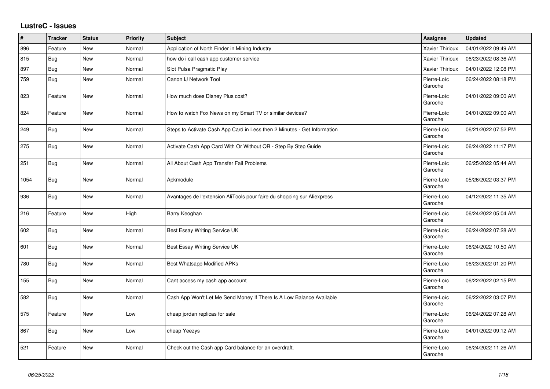## **LustreC - Issues**

| #    | <b>Tracker</b> | <b>Status</b> | <b>Priority</b> | <b>Subject</b>                                                           | <b>Assignee</b>        | <b>Updated</b>      |
|------|----------------|---------------|-----------------|--------------------------------------------------------------------------|------------------------|---------------------|
| 896  | Feature        | New           | Normal          | Application of North Finder in Mining Industry                           | <b>Xavier Thirioux</b> | 04/01/2022 09:49 AM |
| 815  | Bug            | <b>New</b>    | Normal          | how do i call cash app customer service                                  | <b>Xavier Thirioux</b> | 06/23/2022 08:36 AM |
| 897  | Bug            | New           | Normal          | Slot Pulsa Pragmatic Play                                                | <b>Xavier Thirioux</b> | 04/01/2022 12:08 PM |
| 759  | Bug            | New           | Normal          | Canon IJ Network Tool                                                    | Pierre-Loïc<br>Garoche | 06/24/2022 08:18 PM |
| 823  | Feature        | New           | Normal          | How much does Disney Plus cost?                                          | Pierre-Loïc<br>Garoche | 04/01/2022 09:00 AM |
| 824  | Feature        | New           | Normal          | How to watch Fox News on my Smart TV or similar devices?                 | Pierre-Loïc<br>Garoche | 04/01/2022 09:00 AM |
| 249  | <b>Bug</b>     | New           | Normal          | Steps to Activate Cash App Card in Less then 2 Minutes - Get Information | Pierre-Loïc<br>Garoche | 06/21/2022 07:52 PM |
| 275  | Bug            | <b>New</b>    | Normal          | Activate Cash App Card With Or Without QR - Step By Step Guide           | Pierre-Loïc<br>Garoche | 06/24/2022 11:17 PM |
| 251  | Bug            | <b>New</b>    | Normal          | All About Cash App Transfer Fail Problems                                | Pierre-Loïc<br>Garoche | 06/25/2022 05:44 AM |
| 1054 | Bug            | <b>New</b>    | Normal          | Apkmodule                                                                | Pierre-Loïc<br>Garoche | 05/26/2022 03:37 PM |
| 936  | Bug            | New           | Normal          | Avantages de l'extension AliTools pour faire du shopping sur Aliexpress  | Pierre-Loïc<br>Garoche | 04/12/2022 11:35 AM |
| 216  | Feature        | New           | High            | Barry Keoghan                                                            | Pierre-Loïc<br>Garoche | 06/24/2022 05:04 AM |
| 602  | <b>Bug</b>     | New           | Normal          | Best Essay Writing Service UK                                            | Pierre-Loïc<br>Garoche | 06/24/2022 07:28 AM |
| 601  | Bug            | New           | Normal          | Best Essay Writing Service UK                                            | Pierre-Loïc<br>Garoche | 06/24/2022 10:50 AM |
| 780  | <b>Bug</b>     | <b>New</b>    | Normal          | <b>Best Whatsapp Modified APKs</b>                                       | Pierre-Loïc<br>Garoche | 06/23/2022 01:20 PM |
| 155  | <b>Bug</b>     | New           | Normal          | Cant access my cash app account                                          | Pierre-Loïc<br>Garoche | 06/22/2022 02:15 PM |
| 582  | <b>Bug</b>     | <b>New</b>    | Normal          | Cash App Won't Let Me Send Money If There Is A Low Balance Available     | Pierre-Loïc<br>Garoche | 06/22/2022 03:07 PM |
| 575  | Feature        | New           | Low             | cheap jordan replicas for sale                                           | Pierre-Loïc<br>Garoche | 06/24/2022 07:28 AM |
| 867  | Bug            | New           | Low             | cheap Yeezys                                                             | Pierre-Loïc<br>Garoche | 04/01/2022 09:12 AM |
| 521  | Feature        | New           | Normal          | Check out the Cash app Card balance for an overdraft.                    | Pierre-Loïc<br>Garoche | 06/24/2022 11:26 AM |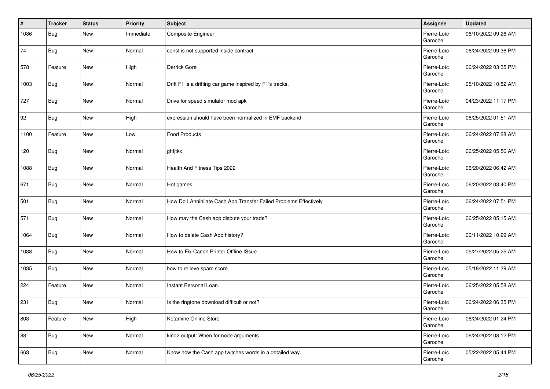| #    | <b>Tracker</b> | <b>Status</b> | <b>Priority</b> | <b>Subject</b>                                                    | Assignee               | <b>Updated</b>      |
|------|----------------|---------------|-----------------|-------------------------------------------------------------------|------------------------|---------------------|
| 1086 | Bug            | New           | Immediate       | Composite Engineer                                                | Pierre-Loïc<br>Garoche | 06/10/2022 09:26 AM |
| 74   | <b>Bug</b>     | <b>New</b>    | Normal          | const is not supported inside contract                            | Pierre-Loïc<br>Garoche | 06/24/2022 09:36 PM |
| 578  | Feature        | <b>New</b>    | High            | Derrick Gore                                                      | Pierre-Loïc<br>Garoche | 06/24/2022 03:35 PM |
| 1003 | <b>Bug</b>     | New           | Normal          | Drift F1 is a drifting car game inspired by F1's tracks.          | Pierre-Loïc<br>Garoche | 05/10/2022 10:52 AM |
| 727  | Bug            | New           | Normal          | Drive for speed simulator mod apk                                 | Pierre-Loïc<br>Garoche | 04/23/2022 11:17 PM |
| 92   | <b>Bug</b>     | New           | High            | expression should have been normalized in EMF backend             | Pierre-Loïc<br>Garoche | 06/25/2022 01:51 AM |
| 1100 | Feature        | <b>New</b>    | Low             | <b>Food Products</b>                                              | Pierre-Loïc<br>Garoche | 06/24/2022 07:28 AM |
| 120  | <b>Bug</b>     | <b>New</b>    | Normal          | ghfjtkx                                                           | Pierre-Loïc<br>Garoche | 06/25/2022 05:56 AM |
| 1088 | <b>Bug</b>     | <b>New</b>    | Normal          | Health And Fitness Tips 2022                                      | Pierre-Loïc<br>Garoche | 06/20/2022 06:42 AM |
| 671  | <b>Bug</b>     | New           | Normal          | Hot games                                                         | Pierre-Loïc<br>Garoche | 06/20/2022 03:40 PM |
| 501  | <b>Bug</b>     | New           | Normal          | How Do I Annihilate Cash App Transfer Failed Problems Effectively | Pierre-Loïc<br>Garoche | 06/24/2022 07:51 PM |
| 571  | <b>Bug</b>     | New           | Normal          | How may the Cash app dispute your trade?                          | Pierre-Loïc<br>Garoche | 06/25/2022 05:15 AM |
| 1064 | <b>Bug</b>     | New           | Normal          | How to delete Cash App history?                                   | Pierre-Loïc<br>Garoche | 06/11/2022 10:29 AM |
| 1038 | <b>Bug</b>     | New           | Normal          | How to Fix Canon Printer Offline ISsue                            | Pierre-Loïc<br>Garoche | 05/27/2022 05:25 AM |
| 1035 | <b>Bug</b>     | <b>New</b>    | Normal          | how to relieve spam score                                         | Pierre-Loïc<br>Garoche | 05/18/2022 11:39 AM |
| 224  | Feature        | <b>New</b>    | Normal          | Instant Personal Loan                                             | Pierre-Loïc<br>Garoche | 06/25/2022 05:58 AM |
| 231  | <b>Bug</b>     | <b>New</b>    | Normal          | Is the ringtone download difficult or not?                        | Pierre-Loïc<br>Garoche | 06/24/2022 06:35 PM |
| 803  | Feature        | New           | High            | Ketamine Online Store                                             | Pierre-Loïc<br>Garoche | 06/24/2022 01:24 PM |
| 88   | <b>Bug</b>     | New           | Normal          | kind2 output: When for node arguments                             | Pierre-Loïc<br>Garoche | 06/24/2022 08:12 PM |
| 663  | Bug            | New           | Normal          | Know how the Cash app twitches words in a detailed way.           | Pierre-Loïc<br>Garoche | 05/22/2022 05:44 PM |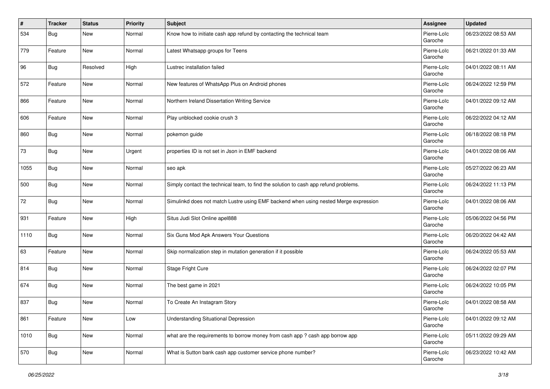| #    | <b>Tracker</b> | <b>Status</b> | <b>Priority</b> | Subject                                                                              | Assignee               | <b>Updated</b>      |
|------|----------------|---------------|-----------------|--------------------------------------------------------------------------------------|------------------------|---------------------|
| 534  | Bug            | <b>New</b>    | Normal          | Know how to initiate cash app refund by contacting the technical team                | Pierre-Loïc<br>Garoche | 06/23/2022 08:53 AM |
| 779  | Feature        | New           | Normal          | Latest Whatsapp groups for Teens                                                     | Pierre-Loïc<br>Garoche | 06/21/2022 01:33 AM |
| 96   | <b>Bug</b>     | Resolved      | High            | Lustrec installation failed                                                          | Pierre-Loïc<br>Garoche | 04/01/2022 08:11 AM |
| 572  | Feature        | <b>New</b>    | Normal          | New features of WhatsApp Plus on Android phones                                      | Pierre-Loïc<br>Garoche | 06/24/2022 12:59 PM |
| 866  | Feature        | <b>New</b>    | Normal          | Northern Ireland Dissertation Writing Service                                        | Pierre-Loïc<br>Garoche | 04/01/2022 09:12 AM |
| 606  | Feature        | New           | Normal          | Play unblocked cookie crush 3                                                        | Pierre-Loïc<br>Garoche | 06/22/2022 04:12 AM |
| 860  | Bug            | <b>New</b>    | Normal          | pokemon guide                                                                        | Pierre-Loïc<br>Garoche | 06/18/2022 08:18 PM |
| 73   | Bug            | <b>New</b>    | Urgent          | properties ID is not set in Json in EMF backend                                      | Pierre-Loïc<br>Garoche | 04/01/2022 08:06 AM |
| 1055 | <b>Bug</b>     | <b>New</b>    | Normal          | seo apk                                                                              | Pierre-Loïc<br>Garoche | 05/27/2022 06:23 AM |
| 500  | <b>Bug</b>     | New           | Normal          | Simply contact the technical team, to find the solution to cash app refund problems. | Pierre-Loïc<br>Garoche | 06/24/2022 11:13 PM |
| 72   | <b>Bug</b>     | <b>New</b>    | Normal          | Simulinkd does not match Lustre using EMF backend when using nested Merge expression | Pierre-Loïc<br>Garoche | 04/01/2022 08:06 AM |
| 931  | Feature        | <b>New</b>    | High            | Situs Judi Slot Online apel888                                                       | Pierre-Loïc<br>Garoche | 05/06/2022 04:56 PM |
| 1110 | <b>Bug</b>     | New           | Normal          | Six Guns Mod Apk Answers Your Questions                                              | Pierre-Loïc<br>Garoche | 06/20/2022 04:42 AM |
| 63   | Feature        | New           | Normal          | Skip normalization step in mutation generation if it possible                        | Pierre-Loïc<br>Garoche | 06/24/2022 05:53 AM |
| 814  | Bug            | <b>New</b>    | Normal          | Stage Fright Cure                                                                    | Pierre-Loïc<br>Garoche | 06/24/2022 02:07 PM |
| 674  | <b>Bug</b>     | <b>New</b>    | Normal          | The best game in 2021                                                                | Pierre-Loïc<br>Garoche | 06/24/2022 10:05 PM |
| 837  | <b>Bug</b>     | New           | Normal          | To Create An Instagram Story                                                         | Pierre-Loïc<br>Garoche | 04/01/2022 08:58 AM |
| 861  | Feature        | New           | Low             | <b>Understanding Situational Depression</b>                                          | Pierre-Loïc<br>Garoche | 04/01/2022 09:12 AM |
| 1010 | <b>Bug</b>     | New           | Normal          | what are the requirements to borrow money from cash app ? cash app borrow app        | Pierre-Loïc<br>Garoche | 05/11/2022 09:29 AM |
| 570  | <b>Bug</b>     | New           | Normal          | What is Sutton bank cash app customer service phone number?                          | Pierre-Loïc<br>Garoche | 06/23/2022 10:42 AM |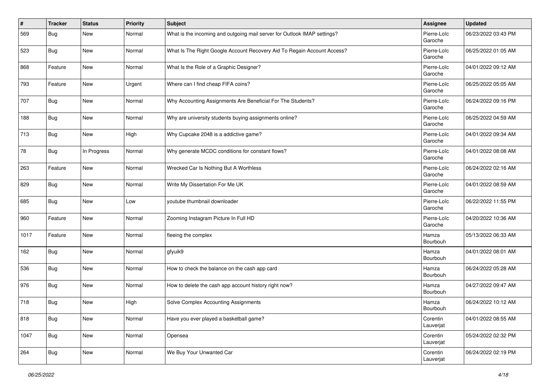| $\#$ | <b>Tracker</b> | <b>Status</b> | <b>Priority</b> | <b>Subject</b>                                                           | Assignee               | <b>Updated</b>      |
|------|----------------|---------------|-----------------|--------------------------------------------------------------------------|------------------------|---------------------|
| 569  | Bug            | New           | Normal          | What is the incoming and outgoing mail server for Outlook IMAP settings? | Pierre-Loïc<br>Garoche | 06/23/2022 03:43 PM |
| 523  | <b>Bug</b>     | <b>New</b>    | Normal          | What Is The Right Google Account Recovery Aid To Regain Account Access?  | Pierre-Loïc<br>Garoche | 06/25/2022 01:05 AM |
| 868  | Feature        | <b>New</b>    | Normal          | What Is the Role of a Graphic Designer?                                  | Pierre-Loïc<br>Garoche | 04/01/2022 09:12 AM |
| 793  | Feature        | <b>New</b>    | Urgent          | Where can I find cheap FIFA coins?                                       | Pierre-Loïc<br>Garoche | 06/25/2022 05:05 AM |
| 707  | <b>Bug</b>     | <b>New</b>    | Normal          | Why Accounting Assignments Are Beneficial For The Students?              | Pierre-Loïc<br>Garoche | 06/24/2022 09:16 PM |
| 188  | <b>Bug</b>     | <b>New</b>    | Normal          | Why are university students buying assignments online?                   | Pierre-Loïc<br>Garoche | 06/25/2022 04:59 AM |
| 713  | <b>Bug</b>     | New           | High            | Why Cupcake 2048 is a addictive game?                                    | Pierre-Loïc<br>Garoche | 04/01/2022 09:34 AM |
| 78   | <b>Bug</b>     | In Progress   | Normal          | Why generate MCDC conditions for constant flows?                         | Pierre-Loïc<br>Garoche | 04/01/2022 08:08 AM |
| 263  | Feature        | <b>New</b>    | Normal          | Wrecked Car Is Nothing But A Worthless                                   | Pierre-Loïc<br>Garoche | 06/24/2022 02:16 AM |
| 829  | <b>Bug</b>     | New           | Normal          | Write My Dissertation For Me UK                                          | Pierre-Loïc<br>Garoche | 04/01/2022 08:59 AM |
| 685  | <b>Bug</b>     | <b>New</b>    | Low             | youtube thumbnail downloader                                             | Pierre-Loïc<br>Garoche | 06/22/2022 11:55 PM |
| 960  | Feature        | New           | Normal          | Zooming Instagram Picture In Full HD                                     | Pierre-Loïc<br>Garoche | 04/20/2022 10:36 AM |
| 1017 | Feature        | <b>New</b>    | Normal          | fleeing the complex                                                      | Hamza<br>Bourbouh      | 05/13/2022 06:33 AM |
| 162  | <b>Bug</b>     | <b>New</b>    | Normal          | gfyuik9                                                                  | Hamza<br>Bourbouh      | 04/01/2022 08:01 AM |
| 536  | <b>Bug</b>     | <b>New</b>    | Normal          | How to check the balance on the cash app card                            | Hamza<br>Bourbouh      | 06/24/2022 05:28 AM |
| 976  | <b>Bug</b>     | <b>New</b>    | Normal          | How to delete the cash app account history right now?                    | Hamza<br>Bourbouh      | 04/27/2022 09:47 AM |
| 718  | <b>Bug</b>     | <b>New</b>    | High            | Solve Complex Accounting Assignments                                     | Hamza<br>Bourbouh      | 06/24/2022 10:12 AM |
| 818  | <b>Bug</b>     | New           | Normal          | Have you ever played a basketball game?                                  | Corentin<br>Lauverjat  | 04/01/2022 08:55 AM |
| 1047 | <b>Bug</b>     | New           | Normal          | Opensea                                                                  | Corentin<br>Lauverjat  | 05/24/2022 02:32 PM |
| 264  | <b>Bug</b>     | New           | Normal          | We Buy Your Unwanted Car                                                 | Corentin<br>Lauverjat  | 06/24/2022 02:19 PM |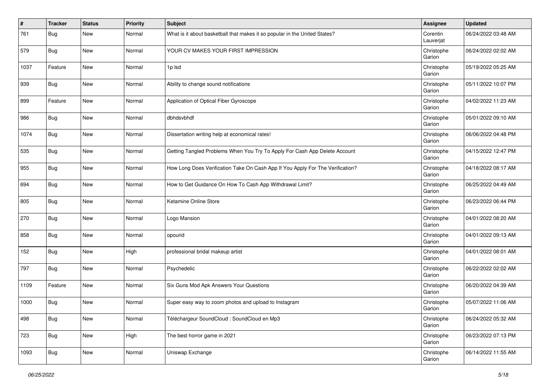| #    | <b>Tracker</b> | <b>Status</b> | <b>Priority</b> | <b>Subject</b>                                                                 | Assignee              | <b>Updated</b>      |
|------|----------------|---------------|-----------------|--------------------------------------------------------------------------------|-----------------------|---------------------|
| 761  | Bug            | <b>New</b>    | Normal          | What is it about basketball that makes it so popular in the United States?     | Corentin<br>Lauverjat | 06/24/2022 03:48 AM |
| 579  | Bug            | <b>New</b>    | Normal          | YOUR CV MAKES YOUR FIRST IMPRESSION                                            | Christophe<br>Garion  | 06/24/2022 02:02 AM |
| 1037 | Feature        | New           | Normal          | 1p lsd                                                                         | Christophe<br>Garion  | 05/19/2022 05:25 AM |
| 939  | Bug            | New           | Normal          | Ability to change sound notifications                                          | Christophe<br>Garion  | 05/11/2022 10:07 PM |
| 899  | Feature        | <b>New</b>    | Normal          | Application of Optical Fiber Gyroscope                                         | Christophe<br>Garion  | 04/02/2022 11:23 AM |
| 986  | <b>Bug</b>     | New           | Normal          | dbhdsvbhdf                                                                     | Christophe<br>Garion  | 05/01/2022 09:10 AM |
| 1074 | Bug            | <b>New</b>    | Normal          | Dissertation writing help at economical rates!                                 | Christophe<br>Garion  | 06/06/2022 04:48 PM |
| 535  | Bug            | <b>New</b>    | Normal          | Getting Tangled Problems When You Try To Apply For Cash App Delete Account     | Christophe<br>Garion  | 04/15/2022 12:47 PM |
| 955  | Bug            | <b>New</b>    | Normal          | How Long Does Verification Take On Cash App If You Apply For The Verification? | Christophe<br>Garion  | 04/18/2022 08:17 AM |
| 694  | Bug            | <b>New</b>    | Normal          | How to Get Guidance On How To Cash App Withdrawal Limit?                       | Christophe<br>Garion  | 06/25/2022 04:49 AM |
| 805  | Bug            | <b>New</b>    | Normal          | Ketamine Online Store                                                          | Christophe<br>Garion  | 06/23/2022 06:44 PM |
| 270  | Bug            | <b>New</b>    | Normal          | Logo Mansion                                                                   | Christophe<br>Garion  | 04/01/2022 08:20 AM |
| 858  | <b>Bug</b>     | <b>New</b>    | Normal          | opourid                                                                        | Christophe<br>Garion  | 04/01/2022 09:13 AM |
| 152  | Bug            | <b>New</b>    | High            | professional bridal makeup artist                                              | Christophe<br>Garion  | 04/01/2022 08:01 AM |
| 797  | Bug            | <b>New</b>    | Normal          | Psychedelic                                                                    | Christophe<br>Garion  | 06/22/2022 02:02 AM |
| 1109 | Feature        | New           | Normal          | Six Guns Mod Apk Answers Your Questions                                        | Christophe<br>Garion  | 06/20/2022 04:39 AM |
| 1000 | <b>Bug</b>     | New           | Normal          | Super easy way to zoom photos and upload to Instagram                          | Christophe<br>Garion  | 05/07/2022 11:06 AM |
| 498  | <b>Bug</b>     | New           | Normal          | Téléchargeur SoundCloud : SoundCloud en Mp3                                    | Christophe<br>Garion  | 06/24/2022 05:32 AM |
| 723  | <b>Bug</b>     | New           | High            | The best horror game in 2021                                                   | Christophe<br>Garion  | 06/23/2022 07:13 PM |
| 1093 | <b>Bug</b>     | New           | Normal          | Uniswap Exchange                                                               | Christophe<br>Garion  | 06/14/2022 11:55 AM |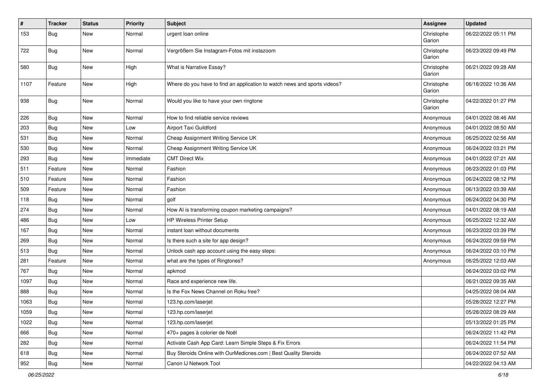| $\vert$ # | <b>Tracker</b> | <b>Status</b> | <b>Priority</b> | <b>Subject</b>                                                            | <b>Assignee</b>      | <b>Updated</b>      |
|-----------|----------------|---------------|-----------------|---------------------------------------------------------------------------|----------------------|---------------------|
| 153       | Bug            | <b>New</b>    | Normal          | urgent loan online                                                        | Christophe<br>Garion | 06/22/2022 05:11 PM |
| 722       | Bug            | <b>New</b>    | Normal          | Vergrößern Sie Instagram-Fotos mit instazoom                              | Christophe<br>Garion | 06/23/2022 09:49 PM |
| 580       | Bug            | <b>New</b>    | High            | What is Narrative Essay?                                                  | Christophe<br>Garion | 06/21/2022 09:28 AM |
| 1107      | Feature        | <b>New</b>    | High            | Where do you have to find an application to watch news and sports videos? | Christophe<br>Garion | 06/18/2022 10:36 AM |
| 938       | Bug            | <b>New</b>    | Normal          | Would you like to have your own ringtone                                  | Christophe<br>Garion | 04/22/2022 01:27 PM |
| 226       | Bug            | <b>New</b>    | Normal          | How to find reliable service reviews                                      | Anonymous            | 04/01/2022 08:46 AM |
| 203       | Bug            | <b>New</b>    | Low             | Airport Taxi Guildford                                                    | Anonymous            | 04/01/2022 08:50 AM |
| 531       | <b>Bug</b>     | <b>New</b>    | Normal          | Cheap Assignment Writing Service UK                                       | Anonymous            | 06/25/2022 02:56 AM |
| 530       | Bug            | <b>New</b>    | Normal          | Cheap Assignment Writing Service UK                                       | Anonymous            | 06/24/2022 03:21 PM |
| 293       | <b>Bug</b>     | <b>New</b>    | Immediate       | <b>CMT Direct Wix</b>                                                     | Anonymous            | 04/01/2022 07:21 AM |
| 511       | Feature        | <b>New</b>    | Normal          | Fashion                                                                   | Anonymous            | 06/23/2022 01:03 PM |
| 510       | Feature        | New           | Normal          | Fashion                                                                   | Anonymous            | 06/24/2022 08:12 PM |
| 509       | Feature        | <b>New</b>    | Normal          | Fashion                                                                   | Anonymous            | 06/13/2022 03:39 AM |
| 118       | Bug            | New           | Normal          | golf                                                                      | Anonymous            | 06/24/2022 04:30 PM |
| 274       | <b>Bug</b>     | <b>New</b>    | Normal          | How AI is transforming coupon marketing campaigns?                        | Anonymous            | 04/01/2022 08:19 AM |
| 486       | Bug            | <b>New</b>    | Low             | HP Wireless Printer Setup                                                 | Anonymous            | 06/25/2022 12:32 AM |
| 167       | <b>Bug</b>     | <b>New</b>    | Normal          | instant loan without documents                                            | Anonymous            | 06/23/2022 03:39 PM |
| 269       | <b>Bug</b>     | <b>New</b>    | Normal          | Is there such a site for app design?                                      | Anonymous            | 06/24/2022 09:59 PM |
| 513       | Bug            | <b>New</b>    | Normal          | Unlock cash app account using the easy steps:                             | Anonymous            | 06/24/2022 03:10 PM |
| 281       | Feature        | <b>New</b>    | Normal          | what are the types of Ringtones?                                          | Anonymous            | 06/25/2022 12:03 AM |
| 767       | Bug            | <b>New</b>    | Normal          | apkmod                                                                    |                      | 06/24/2022 03:02 PM |
| 1097      | <b>Bug</b>     | <b>New</b>    | Normal          | Race and experience new life.                                             |                      | 06/21/2022 09:35 AM |
| 888       | Bug            | <b>New</b>    | Normal          | Is the Fox News Channel on Roku free?                                     |                      | 04/25/2022 08:04 AM |
| 1063      | Bug            | <b>New</b>    | Normal          | 123.hp.com/laserjet                                                       |                      | 05/28/2022 12:27 PM |
| 1059      | Bug            | <b>New</b>    | Normal          | 123.hp.com/laserjet                                                       |                      | 05/28/2022 08:29 AM |
| 1022      | <b>Bug</b>     | New           | Normal          | 123.hp.com/laserjet                                                       |                      | 05/13/2022 01:25 PM |
| 666       | <b>Bug</b>     | New           | Normal          | 470+ pages à colorier de Noël                                             |                      | 06/24/2022 11:42 PM |
| 282       | <b>Bug</b>     | New           | Normal          | Activate Cash App Card: Learn Simple Steps & Fix Errors                   |                      | 06/24/2022 11:54 PM |
| 618       | Bug            | New           | Normal          | Buy Steroids Online with OurMedicnes.com   Best Quality Steroids          |                      | 06/24/2022 07:52 AM |
| 952       | <b>Bug</b>     | New           | Normal          | Canon IJ Network Tool                                                     |                      | 04/22/2022 04:13 AM |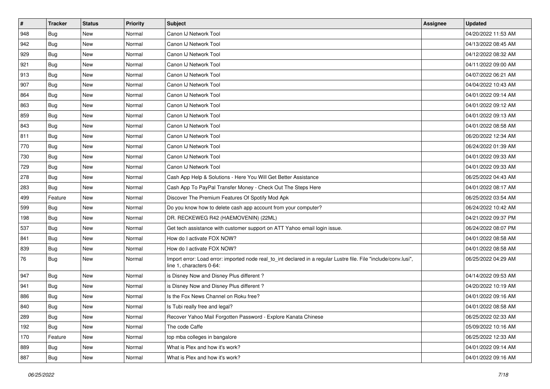| $\vert$ # | <b>Tracker</b> | <b>Status</b> | <b>Priority</b> | Subject                                                                                                                                      | Assignee | <b>Updated</b>      |
|-----------|----------------|---------------|-----------------|----------------------------------------------------------------------------------------------------------------------------------------------|----------|---------------------|
| 948       | Bug            | New           | Normal          | Canon IJ Network Tool                                                                                                                        |          | 04/20/2022 11:53 AM |
| 942       | Bug            | <b>New</b>    | Normal          | Canon IJ Network Tool                                                                                                                        |          | 04/13/2022 08:45 AM |
| 929       | Bug            | New           | Normal          | Canon IJ Network Tool                                                                                                                        |          | 04/12/2022 08:32 AM |
| 921       | Bug            | <b>New</b>    | Normal          | Canon IJ Network Tool                                                                                                                        |          | 04/11/2022 09:00 AM |
| 913       | Bug            | New           | Normal          | Canon IJ Network Tool                                                                                                                        |          | 04/07/2022 06:21 AM |
| 907       | Bug            | <b>New</b>    | Normal          | Canon IJ Network Tool                                                                                                                        |          | 04/04/2022 10:43 AM |
| 864       | Bug            | <b>New</b>    | Normal          | Canon IJ Network Tool                                                                                                                        |          | 04/01/2022 09:14 AM |
| 863       | Bug            | <b>New</b>    | Normal          | Canon IJ Network Tool                                                                                                                        |          | 04/01/2022 09:12 AM |
| 859       | Bug            | <b>New</b>    | Normal          | Canon IJ Network Tool                                                                                                                        |          | 04/01/2022 09:13 AM |
| 843       | Bug            | <b>New</b>    | Normal          | Canon IJ Network Tool                                                                                                                        |          | 04/01/2022 08:58 AM |
| 811       | Bug            | <b>New</b>    | Normal          | Canon IJ Network Tool                                                                                                                        |          | 06/20/2022 12:34 AM |
| 770       | Bug            | <b>New</b>    | Normal          | Canon IJ Network Tool                                                                                                                        |          | 06/24/2022 01:39 AM |
| 730       | Bug            | <b>New</b>    | Normal          | Canon IJ Network Tool                                                                                                                        |          | 04/01/2022 09:33 AM |
| 729       | Bug            | <b>New</b>    | Normal          | Canon IJ Network Tool                                                                                                                        |          | 04/01/2022 09:33 AM |
| 278       | Bug            | <b>New</b>    | Normal          | Cash App Help & Solutions - Here You Will Get Better Assistance                                                                              |          | 06/25/2022 04:43 AM |
| 283       | Bug            | New           | Normal          | Cash App To PayPal Transfer Money - Check Out The Steps Here                                                                                 |          | 04/01/2022 08:17 AM |
| 499       | Feature        | <b>New</b>    | Normal          | Discover The Premium Features Of Spotify Mod Apk                                                                                             |          | 06/25/2022 03:54 AM |
| 599       | Bug            | <b>New</b>    | Normal          | Do you know how to delete cash app account from your computer?                                                                               |          | 06/24/2022 10:42 AM |
| 198       | Bug            | <b>New</b>    | Normal          | DR. RECKEWEG R42 (HAEMOVENIN) (22ML)                                                                                                         |          | 04/21/2022 09:37 PM |
| 537       | Bug            | <b>New</b>    | Normal          | Get tech assistance with customer support on ATT Yahoo email login issue.                                                                    |          | 06/24/2022 08:07 PM |
| 841       | Bug            | New           | Normal          | How do I activate FOX NOW?                                                                                                                   |          | 04/01/2022 08:58 AM |
| 839       | Bug            | <b>New</b>    | Normal          | How do I activate FOX NOW?                                                                                                                   |          | 04/01/2022 08:58 AM |
| 76        | Bug            | <b>New</b>    | Normal          | Import error: Load error: imported node real_to_int declared in a regular Lustre file. File "include/conv.lusi",<br>line 1, characters 0-64: |          | 06/25/2022 04:29 AM |
| 947       | Bug            | <b>New</b>    | Normal          | is Disney Now and Disney Plus different?                                                                                                     |          | 04/14/2022 09:53 AM |
| 941       | Bug            | <b>New</b>    | Normal          | is Disney Now and Disney Plus different?                                                                                                     |          | 04/20/2022 10:19 AM |
| 886       | Bug            | <b>New</b>    | Normal          | Is the Fox News Channel on Roku free?                                                                                                        |          | 04/01/2022 09:16 AM |
| 840       | <b>Bug</b>     | <b>New</b>    | Normal          | Is Tubi really free and legal?                                                                                                               |          | 04/01/2022 08:58 AM |
| 289       | <b>Bug</b>     | New           | Normal          | Recover Yahoo Mail Forgotten Password - Explore Kanata Chinese                                                                               |          | 06/25/2022 02:33 AM |
| 192       | Bug            | New           | Normal          | The code Caffe                                                                                                                               |          | 05/09/2022 10:16 AM |
| 170       | Feature        | New           | Normal          | top mba colleges in bangalore                                                                                                                |          | 06/25/2022 12:33 AM |
| 889       | Bug            | New           | Normal          | What is Plex and how it's work?                                                                                                              |          | 04/01/2022 09:14 AM |
| 887       | <b>Bug</b>     | New           | Normal          | What is Plex and how it's work?                                                                                                              |          | 04/01/2022 09:16 AM |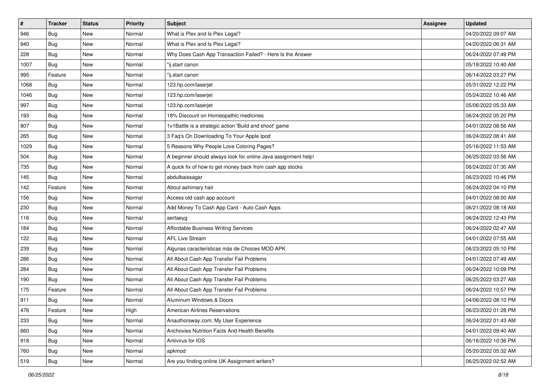| $\sharp$ | <b>Tracker</b> | <b>Status</b> | <b>Priority</b> | Subject                                                        | <b>Assignee</b> | <b>Updated</b>      |
|----------|----------------|---------------|-----------------|----------------------------------------------------------------|-----------------|---------------------|
| 946      | <b>Bug</b>     | New           | Normal          | What is Plex and Is Plex Legal?                                |                 | 04/20/2022 09:07 AM |
| 940      | <b>Bug</b>     | <b>New</b>    | Normal          | What is Plex and Is Plex Legal?                                |                 | 04/20/2022 06:31 AM |
| 228      | <b>Bug</b>     | New           | Normal          | Why Does Cash App Transaction Failed? - Here Is the Answer     |                 | 06/24/2022 07:49 PM |
| 1007     | Bug            | <b>New</b>    | Normal          | "ij.start canon                                                |                 | 05/18/2022 10:40 AM |
| 995      | Feature        | <b>New</b>    | Normal          | "ij.start canon                                                |                 | 06/14/2022 03:27 PM |
| 1068     | <b>Bug</b>     | <b>New</b>    | Normal          | 123.hp.com/laserjet                                            |                 | 05/31/2022 12:22 PM |
| 1046     | <b>Bug</b>     | New           | Normal          | 123.hp.com/laserjet                                            |                 | 05/24/2022 10:46 AM |
| 997      | <b>Bug</b>     | New           | Normal          | 123.hp.com/laserjet                                            |                 | 05/06/2022 05:33 AM |
| 193      | Bug            | New           | Normal          | 18% Discount on Homeopathic medicines                          |                 | 06/24/2022 05:20 PM |
| 807      | Bug            | <b>New</b>    | Normal          | 1v1Battle is a strategic action 'Build and shoot' game         |                 | 04/01/2022 08:56 AM |
| 265      | <b>Bug</b>     | New           | Normal          | 3 Faq's On Downloading To Your Apple Ipod                      |                 | 06/24/2022 08:41 AM |
| 1029     | Bug            | New           | Normal          | 5 Reasons Why People Love Coloring Pages?                      |                 | 05/16/2022 11:53 AM |
| 504      | <b>Bug</b>     | <b>New</b>    | Normal          | A beginner should always look for online Java assignment help! |                 | 06/25/2022 03:56 AM |
| 735      | <b>Bug</b>     | New           | Normal          | A quick fix of how to get money back from cash app stocks      |                 | 06/24/2022 07:30 AM |
| 145      | <b>Bug</b>     | <b>New</b>    | Normal          | abdulbaissagar                                                 |                 | 06/23/2022 10:46 PM |
| 142      | Feature        | New           | Normal          | About ashimary hair                                            |                 | 06/24/2022 04:10 PM |
| 156      | <b>Bug</b>     | <b>New</b>    | Normal          | Access old cash app account                                    |                 | 04/01/2022 08:00 AM |
| 230      | <b>Bug</b>     | <b>New</b>    | Normal          | Add Money To Cash App Card - Auto Cash Apps                    |                 | 06/21/2022 08:18 AM |
| 116      | Bug            | New           | Normal          | aertaeyg                                                       |                 | 06/24/2022 12:43 PM |
| 184      | <b>Bug</b>     | New           | Normal          | Affordable Business Writing Services                           |                 | 06/24/2022 02:47 AM |
| 122      | Bug            | New           | Normal          | <b>AFL Live Stream</b>                                         |                 | 04/01/2022 07:55 AM |
| 239      | Bug            | New           | Normal          | Algunas características más de Choices MOD APK                 |                 | 06/23/2022 05:10 PM |
| 286      | <b>Bug</b>     | <b>New</b>    | Normal          | All About Cash App Transfer Fail Problems                      |                 | 04/01/2022 07:49 AM |
| 284      | <b>Bug</b>     | New           | Normal          | All About Cash App Transfer Fail Problems                      |                 | 06/24/2022 10:09 PM |
| 190      | Bug            | New           | Normal          | All About Cash App Transfer Fail Problems                      |                 | 06/25/2022 03:27 AM |
| 175      | Feature        | New           | Normal          | All About Cash App Transfer Fail Problems                      |                 | 06/24/2022 10:57 PM |
| 911      | <b>Bug</b>     | New           | Normal          | Aluminum Windows & Doors                                       |                 | 04/06/2022 08:10 PM |
| 476      | Feature        | New           | High            | American Airlines Reservations                                 |                 | 06/23/2022 01:28 PM |
| 233      | Bug            | New           | Normal          | Anauthorsway.com: My User Experience                           |                 | 06/24/2022 01:43 AM |
| 660      | Bug            | New           | Normal          | Anchovies Nutrition Facts And Health Benefits                  |                 | 04/01/2022 09:40 AM |
| 918      | <b>Bug</b>     | New           | Normal          | Antivirus for IOS                                              |                 | 06/16/2022 10:36 PM |
| 760      | Bug            | New           | Normal          | apkmod                                                         |                 | 05/20/2022 05:32 AM |
| 519      | <b>Bug</b>     | New           | Normal          | Are you finding online UK Assignment writers?                  |                 | 06/25/2022 02:52 AM |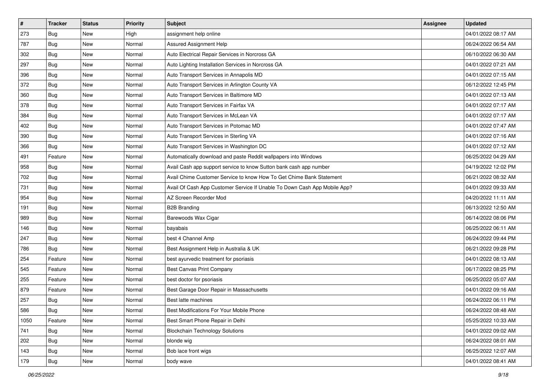| $\sharp$ | <b>Tracker</b> | <b>Status</b> | <b>Priority</b> | Subject                                                                   | <b>Assignee</b> | <b>Updated</b>      |
|----------|----------------|---------------|-----------------|---------------------------------------------------------------------------|-----------------|---------------------|
| 273      | <b>Bug</b>     | New           | High            | assignment help online                                                    |                 | 04/01/2022 08:17 AM |
| 787      | <b>Bug</b>     | New           | Normal          | Assured Assignment Help                                                   |                 | 06/24/2022 06:54 AM |
| 302      | <b>Bug</b>     | New           | Normal          | Auto Electrical Repair Services in Norcross GA                            |                 | 06/10/2022 06:30 AM |
| 297      | Bug            | New           | Normal          | Auto Lighting Installation Services in Norcross GA                        |                 | 04/01/2022 07:21 AM |
| 396      | <b>Bug</b>     | <b>New</b>    | Normal          | Auto Transport Services in Annapolis MD                                   |                 | 04/01/2022 07:15 AM |
| 372      | <b>Bug</b>     | New           | Normal          | Auto Transport Services in Arlington County VA                            |                 | 06/12/2022 12:45 PM |
| 360      | <b>Bug</b>     | New           | Normal          | Auto Transport Services in Baltimore MD                                   |                 | 04/01/2022 07:13 AM |
| 378      | <b>Bug</b>     | <b>New</b>    | Normal          | Auto Transport Services in Fairfax VA                                     |                 | 04/01/2022 07:17 AM |
| 384      | <b>Bug</b>     | New           | Normal          | Auto Transport Services in McLean VA                                      |                 | 04/01/2022 07:17 AM |
| 402      | Bug            | <b>New</b>    | Normal          | Auto Transport Services in Potomac MD                                     |                 | 04/01/2022 07:47 AM |
| 390      | <b>Bug</b>     | New           | Normal          | Auto Transport Services in Sterling VA                                    |                 | 04/01/2022 07:16 AM |
| 366      | Bug            | New           | Normal          | Auto Transport Services in Washington DC                                  |                 | 04/01/2022 07:12 AM |
| 491      | Feature        | <b>New</b>    | Normal          | Automatically download and paste Reddit wallpapers into Windows           |                 | 06/25/2022 04:29 AM |
| 958      | <b>Bug</b>     | New           | Normal          | Avail Cash app support service to know Sutton bank cash app number        |                 | 04/19/2022 12:02 PM |
| 702      | <b>Bug</b>     | <b>New</b>    | Normal          | Avail Chime Customer Service to know How To Get Chime Bank Statement      |                 | 06/21/2022 08:32 AM |
| 731      | <b>Bug</b>     | New           | Normal          | Avail Of Cash App Customer Service If Unable To Down Cash App Mobile App? |                 | 04/01/2022 09:33 AM |
| 954      | <b>Bug</b>     | <b>New</b>    | Normal          | AZ Screen Recorder Mod                                                    |                 | 04/20/2022 11:11 AM |
| 191      | <b>Bug</b>     | <b>New</b>    | Normal          | <b>B2B Branding</b>                                                       |                 | 06/13/2022 12:50 AM |
| 989      | <b>Bug</b>     | New           | Normal          | Barewoods Wax Cigar                                                       |                 | 06/14/2022 08:06 PM |
| 146      | <b>Bug</b>     | <b>New</b>    | Normal          | bayabais                                                                  |                 | 06/25/2022 06:11 AM |
| 247      | Bug            | New           | Normal          | best 4 Channel Amp                                                        |                 | 06/24/2022 09:44 PM |
| 786      | Bug            | <b>New</b>    | Normal          | Best Assignment Help in Australia & UK                                    |                 | 06/21/2022 09:28 PM |
| 254      | Feature        | <b>New</b>    | Normal          | best ayurvedic treatment for psoriasis                                    |                 | 04/01/2022 08:13 AM |
| 545      | Feature        | New           | Normal          | Best Canvas Print Company                                                 |                 | 06/17/2022 08:25 PM |
| 255      | Feature        | New           | Normal          | best doctor for psoriasis                                                 |                 | 06/25/2022 05:07 AM |
| 879      | Feature        | <b>New</b>    | Normal          | Best Garage Door Repair in Massachusetts                                  |                 | 04/01/2022 09:16 AM |
| 257      | <b>Bug</b>     | New           | Normal          | Best latte machines                                                       |                 | 06/24/2022 06:11 PM |
| 586      | Bug            | New           | Normal          | Best Modifications For Your Mobile Phone                                  |                 | 06/24/2022 08:48 AM |
| 1050     | Feature        | New           | Normal          | Best Smart Phone Repair in Delhi                                          |                 | 05/25/2022 10:33 AM |
| 741      | Bug            | New           | Normal          | <b>Blockchain Technology Solutions</b>                                    |                 | 04/01/2022 09:02 AM |
| 202      | <b>Bug</b>     | New           | Normal          | blonde wig                                                                |                 | 06/24/2022 08:01 AM |
| 143      | Bug            | New           | Normal          | Bob lace front wigs                                                       |                 | 06/25/2022 12:07 AM |
| 179      | <b>Bug</b>     | New           | Normal          | body wave                                                                 |                 | 04/01/2022 08:41 AM |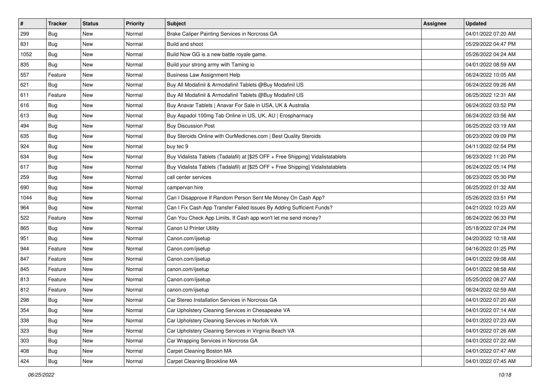| #    | <b>Tracker</b> | <b>Status</b> | <b>Priority</b> | <b>Subject</b>                                                                   | Assignee | <b>Updated</b>      |
|------|----------------|---------------|-----------------|----------------------------------------------------------------------------------|----------|---------------------|
| 299  | Bug            | New           | Normal          | Brake Caliper Painting Services in Norcross GA                                   |          | 04/01/2022 07:20 AM |
| 831  | Bug            | <b>New</b>    | Normal          | Build and shoot                                                                  |          | 05/29/2022 04:47 PM |
| 1052 | Bug            | New           | Normal          | Build Now GG is a new battle royale game.                                        |          | 05/26/2022 04:24 AM |
| 835  | Bug            | <b>New</b>    | Normal          | Build your strong army with Taming io                                            |          | 04/01/2022 08:59 AM |
| 557  | Feature        | <b>New</b>    | Normal          | <b>Business Law Assignment Help</b>                                              |          | 06/24/2022 10:05 AM |
| 621  | <b>Bug</b>     | New           | Normal          | Buy All Modafinil & Armodafinil Tablets @Buy Modafinil US                        |          | 06/24/2022 09:26 AM |
| 611  | Feature        | <b>New</b>    | Normal          | Buy All Modafinil & Armodafinil Tablets @Buy Modafinil US                        |          | 06/25/2022 12:31 AM |
| 616  | Bug            | New           | Normal          | Buy Anavar Tablets   Anavar For Sale in USA, UK & Australia                      |          | 06/24/2022 03:52 PM |
| 613  | Bug            | <b>New</b>    | Normal          | Buy Aspadol 100mg Tab Online in US, UK, AU   Erospharmacy                        |          | 06/24/2022 03:56 AM |
| 494  | Bug            | <b>New</b>    | Normal          | <b>Buy Discussion Post</b>                                                       |          | 06/25/2022 03:19 AM |
| 635  | Bug            | <b>New</b>    | Normal          | Buy Steroids Online with OurMedicnes.com   Best Quality Steroids                 |          | 06/23/2022 09:09 PM |
| 924  | Bug            | <b>New</b>    | Normal          | buy tec 9                                                                        |          | 04/11/2022 02:54 PM |
| 634  | Bug            | New           | Normal          | Buy Vidalista Tablets (Tadalafil) at [\$25 OFF + Free Shipping] Vidalistatablets |          | 06/23/2022 11:20 PM |
| 617  | Bug            | New           | Normal          | Buy Vidalista Tablets (Tadalafil) at [\$25 OFF + Free Shipping] Vidalistatablets |          | 06/24/2022 05:14 PM |
| 259  | Bug            | <b>New</b>    | Normal          | call center services                                                             |          | 06/23/2022 05:30 PM |
| 690  | Bug            | New           | Normal          | campervan hire                                                                   |          | 06/25/2022 01:32 AM |
| 1044 | Bug            | <b>New</b>    | Normal          | Can I Disapprove If Random Person Sent Me Money On Cash App?                     |          | 05/26/2022 03:51 PM |
| 964  | Bug            | <b>New</b>    | Normal          | Can I Fix Cash App Transfer Failed Issues By Adding Sufficient Funds?            |          | 04/21/2022 10:23 AM |
| 522  | Feature        | New           | Normal          | Can You Check App Limits, If Cash app won't let me send money?                   |          | 06/24/2022 06:33 PM |
| 865  | Bug            | <b>New</b>    | Normal          | Canon IJ Printer Utility                                                         |          | 05/18/2022 07:24 PM |
| 951  | Bug            | New           | Normal          | Canon.com/ijsetup                                                                |          | 04/20/2022 10:18 AM |
| 944  | Feature        | <b>New</b>    | Normal          | Canon.com/ijsetup                                                                |          | 04/16/2022 01:25 PM |
| 847  | Feature        | New           | Normal          | Canon.com/ijsetup                                                                |          | 04/01/2022 09:08 AM |
| 845  | Feature        | New           | Normal          | canon.com/ijsetup                                                                |          | 04/01/2022 08:58 AM |
| 813  | Feature        | <b>New</b>    | Normal          | Canon.com/ijsetup                                                                |          | 05/25/2022 08:27 AM |
| 812  | Feature        | New           | Normal          | canon.com/ijsetup                                                                |          | 06/24/2022 02:59 AM |
| 298  | Bug            | New           | Normal          | Car Stereo Installation Services in Norcross GA                                  |          | 04/01/2022 07:20 AM |
| 354  | <b>Bug</b>     | New           | Normal          | Car Upholstery Cleaning Services in Chesapeake VA                                |          | 04/01/2022 07:14 AM |
| 338  | Bug            | New           | Normal          | Car Upholstery Cleaning Services in Norfolk VA                                   |          | 04/01/2022 07:23 AM |
| 323  | Bug            | New           | Normal          | Car Upholstery Cleaning Services in Virginia Beach VA                            |          | 04/01/2022 07:26 AM |
| 303  | Bug            | New           | Normal          | Car Wrapping Services in Norcross GA                                             |          | 04/01/2022 07:22 AM |
| 408  | <b>Bug</b>     | New           | Normal          | Carpet Cleaning Boston MA                                                        |          | 04/01/2022 07:47 AM |
| 424  | <b>Bug</b>     | New           | Normal          | Carpet Cleaning Brookline MA                                                     |          | 04/01/2022 07:45 AM |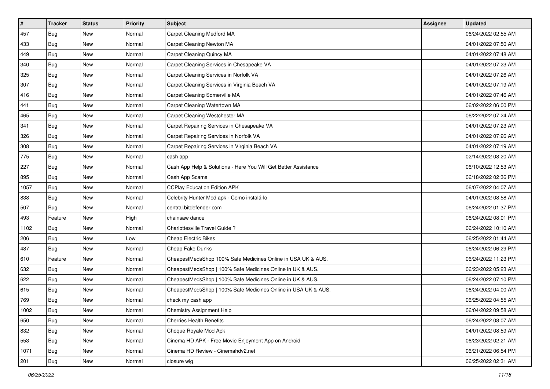| #    | <b>Tracker</b> | <b>Status</b> | <b>Priority</b> | <b>Subject</b>                                                  | Assignee | <b>Updated</b>      |
|------|----------------|---------------|-----------------|-----------------------------------------------------------------|----------|---------------------|
| 457  | Bug            | New           | Normal          | Carpet Cleaning Medford MA                                      |          | 06/24/2022 02:55 AM |
| 433  | Bug            | <b>New</b>    | Normal          | Carpet Cleaning Newton MA                                       |          | 04/01/2022 07:50 AM |
| 449  | Bug            | New           | Normal          | Carpet Cleaning Quincy MA                                       |          | 04/01/2022 07:48 AM |
| 340  | <b>Bug</b>     | <b>New</b>    | Normal          | Carpet Cleaning Services in Chesapeake VA                       |          | 04/01/2022 07:23 AM |
| 325  | Bug            | <b>New</b>    | Normal          | Carpet Cleaning Services in Norfolk VA                          |          | 04/01/2022 07:26 AM |
| 307  | <b>Bug</b>     | New           | Normal          | Carpet Cleaning Services in Virginia Beach VA                   |          | 04/01/2022 07:19 AM |
| 416  | Bug            | <b>New</b>    | Normal          | Carpet Cleaning Somerville MA                                   |          | 04/01/2022 07:46 AM |
| 441  | Bug            | New           | Normal          | Carpet Cleaning Watertown MA                                    |          | 06/02/2022 06:00 PM |
| 465  | Bug            | <b>New</b>    | Normal          | Carpet Cleaning Westchester MA                                  |          | 06/22/2022 07:24 AM |
| 341  | Bug            | <b>New</b>    | Normal          | Carpet Repairing Services in Chesapeake VA                      |          | 04/01/2022 07:23 AM |
| 326  | <b>Bug</b>     | <b>New</b>    | Normal          | Carpet Repairing Services in Norfolk VA                         |          | 04/01/2022 07:26 AM |
| 308  | Bug            | <b>New</b>    | Normal          | Carpet Repairing Services in Virginia Beach VA                  |          | 04/01/2022 07:19 AM |
| 775  | Bug            | New           | Normal          | cash app                                                        |          | 02/14/2022 08:20 AM |
| 227  | Bug            | New           | Normal          | Cash App Help & Solutions - Here You Will Get Better Assistance |          | 06/10/2022 12:53 AM |
| 895  | Bug            | <b>New</b>    | Normal          | Cash App Scams                                                  |          | 06/18/2022 02:36 PM |
| 1057 | Bug            | New           | Normal          | <b>CCPlay Education Edition APK</b>                             |          | 06/07/2022 04:07 AM |
| 838  | Bug            | <b>New</b>    | Normal          | Celebrity Hunter Mod apk - Como instalá-lo                      |          | 04/01/2022 08:58 AM |
| 507  | Bug            | <b>New</b>    | Normal          | central.bitdefender.com                                         |          | 06/24/2022 01:37 PM |
| 493  | Feature        | <b>New</b>    | High            | chainsaw dance                                                  |          | 06/24/2022 08:01 PM |
| 1102 | Bug            | <b>New</b>    | Normal          | Charlottesville Travel Guide?                                   |          | 06/24/2022 10:10 AM |
| 206  | Bug            | New           | Low             | <b>Cheap Electric Bikes</b>                                     |          | 06/25/2022 01:44 AM |
| 487  | Bug            | <b>New</b>    | Normal          | Cheap Fake Dunks                                                |          | 06/24/2022 06:29 PM |
| 610  | Feature        | <b>New</b>    | Normal          | CheapestMedsShop 100% Safe Medicines Online in USA UK & AUS.    |          | 06/24/2022 11:23 PM |
| 632  | Bug            | <b>New</b>    | Normal          | CheapestMedsShop   100% Safe Medicines Online in UK & AUS.      |          | 06/23/2022 05:23 AM |
| 622  | Bug            | New           | Normal          | CheapestMedsShop   100% Safe Medicines Online in UK & AUS.      |          | 06/24/2022 07:10 PM |
| 615  | Bug            | New           | Normal          | CheapestMedsShop   100% Safe Medicines Online in USA UK & AUS.  |          | 06/24/2022 04:00 AM |
| 769  | Bug            | New           | Normal          | check my cash app                                               |          | 06/25/2022 04:55 AM |
| 1002 | <b>Bug</b>     | New           | Normal          | Chemistry Assignment Help                                       |          | 06/04/2022 09:58 AM |
| 650  | Bug            | New           | Normal          | <b>Cherries Health Benefits</b>                                 |          | 06/24/2022 08:07 AM |
| 832  | Bug            | New           | Normal          | Choque Royale Mod Apk                                           |          | 04/01/2022 08:59 AM |
| 553  | Bug            | New           | Normal          | Cinema HD APK - Free Movie Enjoyment App on Android             |          | 06/23/2022 02:21 AM |
| 1071 | Bug            | New           | Normal          | Cinema HD Review - Cinemahdv2.net                               |          | 06/21/2022 06:54 PM |
| 201  | <b>Bug</b>     | New           | Normal          | closure wig                                                     |          | 06/25/2022 02:31 AM |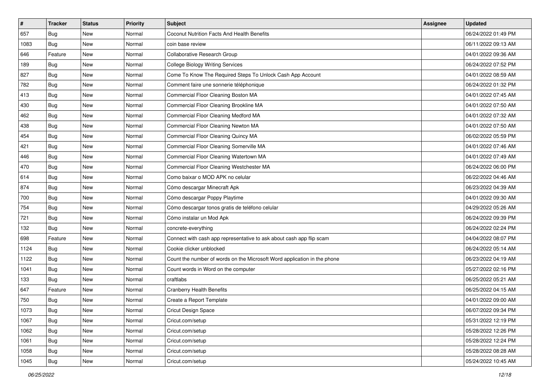| #    | <b>Tracker</b> | <b>Status</b> | <b>Priority</b> | <b>Subject</b>                                                           | Assignee | <b>Updated</b>      |
|------|----------------|---------------|-----------------|--------------------------------------------------------------------------|----------|---------------------|
| 657  | Bug            | New           | Normal          | Coconut Nutrition Facts And Health Benefits                              |          | 06/24/2022 01:49 PM |
| 1083 | Bug            | <b>New</b>    | Normal          | coin base review                                                         |          | 06/11/2022 09:13 AM |
| 646  | Feature        | New           | Normal          | Collaborative Research Group                                             |          | 04/01/2022 09:36 AM |
| 189  | Bug            | <b>New</b>    | Normal          | <b>College Biology Writing Services</b>                                  |          | 06/24/2022 07:52 PM |
| 827  | Bug            | New           | Normal          | Come To Know The Required Steps To Unlock Cash App Account               |          | 04/01/2022 08:59 AM |
| 782  | <b>Bug</b>     | New           | Normal          | Comment faire une sonnerie téléphonique                                  |          | 06/24/2022 01:32 PM |
| 413  | Bug            | <b>New</b>    | Normal          | Commercial Floor Cleaning Boston MA                                      |          | 04/01/2022 07:45 AM |
| 430  | Bug            | New           | Normal          | Commercial Floor Cleaning Brookline MA                                   |          | 04/01/2022 07:50 AM |
| 462  | Bug            | <b>New</b>    | Normal          | Commercial Floor Cleaning Medford MA                                     |          | 04/01/2022 07:32 AM |
| 438  | Bug            | <b>New</b>    | Normal          | Commercial Floor Cleaning Newton MA                                      |          | 04/01/2022 07:50 AM |
| 454  | Bug            | <b>New</b>    | Normal          | Commercial Floor Cleaning Quincy MA                                      |          | 06/02/2022 05:59 PM |
| 421  | Bug            | <b>New</b>    | Normal          | Commercial Floor Cleaning Somerville MA                                  |          | 04/01/2022 07:46 AM |
| 446  | Bug            | New           | Normal          | Commercial Floor Cleaning Watertown MA                                   |          | 04/01/2022 07:49 AM |
| 470  | Bug            | New           | Normal          | Commercial Floor Cleaning Westchester MA                                 |          | 06/24/2022 06:00 PM |
| 614  | Bug            | <b>New</b>    | Normal          | Como baixar o MOD APK no celular                                         |          | 06/22/2022 04:46 AM |
| 874  | Bug            | New           | Normal          | Cómo descargar Minecraft Apk                                             |          | 06/23/2022 04:39 AM |
| 700  | Bug            | <b>New</b>    | Normal          | Cómo descargar Poppy Playtime                                            |          | 04/01/2022 09:30 AM |
| 754  | Bug            | <b>New</b>    | Normal          | Cómo descargar tonos gratis de teléfono celular                          |          | 04/29/2022 05:26 AM |
| 721  | Bug            | <b>New</b>    | Normal          | Cómo instalar un Mod Apk                                                 |          | 06/24/2022 09:39 PM |
| 132  | Bug            | <b>New</b>    | Normal          | concrete-everything                                                      |          | 06/24/2022 02:24 PM |
| 698  | Feature        | New           | Normal          | Connect with cash app representative to ask about cash app flip scam     |          | 04/04/2022 08:07 PM |
| 1124 | Bug            | <b>New</b>    | Normal          | Cookie clicker unblocked                                                 |          | 06/24/2022 05:14 AM |
| 1122 | Bug            | <b>New</b>    | Normal          | Count the number of words on the Microsoft Word application in the phone |          | 06/23/2022 04:19 AM |
| 1041 | <b>Bug</b>     | <b>New</b>    | Normal          | Count words in Word on the computer                                      |          | 05/27/2022 02:16 PM |
| 133  | Bug            | New           | Normal          | craftlabs                                                                |          | 06/25/2022 05:21 AM |
| 647  | Feature        | New           | Normal          | <b>Cranberry Health Benefits</b>                                         |          | 06/25/2022 04:15 AM |
| 750  | Bug            | New           | Normal          | Create a Report Template                                                 |          | 04/01/2022 09:00 AM |
| 1073 | <b>Bug</b>     | New           | Normal          | Cricut Design Space                                                      |          | 06/07/2022 09:34 PM |
| 1067 | Bug            | New           | Normal          | Cricut.com/setup                                                         |          | 05/31/2022 12:19 PM |
| 1062 | Bug            | New           | Normal          | Cricut.com/setup                                                         |          | 05/28/2022 12:26 PM |
| 1061 | Bug            | New           | Normal          | Cricut.com/setup                                                         |          | 05/28/2022 12:24 PM |
| 1058 | Bug            | New           | Normal          | Cricut.com/setup                                                         |          | 05/28/2022 08:28 AM |
| 1045 | <b>Bug</b>     | New           | Normal          | Cricut.com/setup                                                         |          | 05/24/2022 10:45 AM |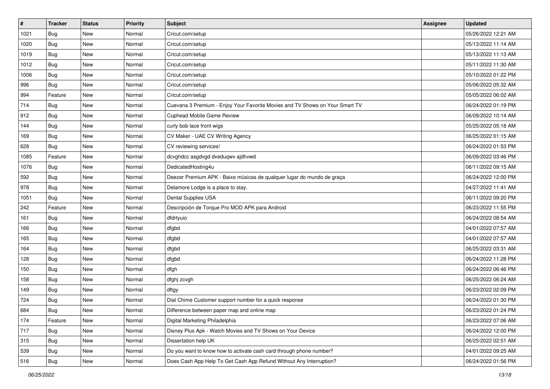| $\vert$ # | <b>Tracker</b> | <b>Status</b> | <b>Priority</b> | <b>Subject</b>                                                               | <b>Assignee</b> | <b>Updated</b>      |
|-----------|----------------|---------------|-----------------|------------------------------------------------------------------------------|-----------------|---------------------|
| 1021      | <b>Bug</b>     | New           | Normal          | Cricut.com/setup                                                             |                 | 05/26/2022 12:21 AM |
| 1020      | Bug            | <b>New</b>    | Normal          | Cricut.com/setup                                                             |                 | 05/13/2022 11:14 AM |
| 1019      | <b>Bug</b>     | New           | Normal          | Cricut.com/setup                                                             |                 | 05/13/2022 11:13 AM |
| 1012      | <b>Bug</b>     | New           | Normal          | Cricut.com/setup                                                             |                 | 05/11/2022 11:30 AM |
| 1006      | Bug            | New           | Normal          | Cricut.com/setup                                                             |                 | 05/10/2022 01:22 PM |
| 996       | <b>Bug</b>     | New           | Normal          | Cricut.com/setup                                                             |                 | 05/06/2022 05:32 AM |
| 994       | Feature        | New           | Normal          | Cricut.com/setup                                                             |                 | 05/05/2022 06:02 AM |
| 714       | <b>Bug</b>     | New           | Normal          | Cuevana 3 Premium - Enjoy Your Favorite Movies and TV Shows on Your Smart TV |                 | 06/24/2022 01:19 PM |
| 912       | Bug            | New           | Normal          | Cuphead Mobile Game Review                                                   |                 | 06/09/2022 10:14 AM |
| 144       | Bug            | New           | Normal          | curly bob lace front wigs                                                    |                 | 05/25/2022 05:18 AM |
| 169       | <b>Bug</b>     | New           | Normal          | CV Maker - UAE CV Writing Agency                                             |                 | 06/25/2022 01:15 AM |
| 628       | Bug            | New           | Normal          | CV reviewing services!                                                       |                 | 06/24/2022 01:53 PM |
| 1085      | Feature        | <b>New</b>    | Normal          | dcvghdcc asgdvgd dveduqwv ajdhvwd                                            |                 | 06/09/2022 03:46 PM |
| 1076      | Bug            | New           | Normal          | DedicatedHosting4u                                                           |                 | 06/11/2022 09:15 AM |
| 592       | Bug            | New           | Normal          | Deezer Premium APK - Baixe músicas de qualquer lugar do mundo de graça       |                 | 06/24/2022 12:00 PM |
| 978       | Bug            | New           | Normal          | Delamore Lodge is a place to stay.                                           |                 | 04/27/2022 11:41 AM |
| 1051      | <b>Bug</b>     | New           | Normal          | Dental Supplies USA                                                          |                 | 06/11/2022 09:20 PM |
| 242       | Feature        | <b>New</b>    | Normal          | Descripción de Torque Pro MOD APK para Android                               |                 | 06/23/2022 11:55 PM |
| 161       | <b>Bug</b>     | New           | Normal          | dfdrtyuio                                                                    |                 | 06/24/2022 08:54 AM |
| 166       | Bug            | New           | Normal          | dfgbd                                                                        |                 | 04/01/2022 07:57 AM |
| 165       | <b>Bug</b>     | New           | Normal          | dfgbd                                                                        |                 | 04/01/2022 07:57 AM |
| 164       | Bug            | New           | Normal          | dfgbd                                                                        |                 | 06/25/2022 03:31 AM |
| 128       | Bug            | New           | Normal          | dfgbd                                                                        |                 | 06/24/2022 11:28 PM |
| 150       | <b>Bug</b>     | New           | Normal          | dfgh                                                                         |                 | 06/24/2022 06:46 PM |
| 158       | <b>Bug</b>     | New           | Normal          | dfghj zcvgh                                                                  |                 | 06/25/2022 06:24 AM |
| 149       | Bug            | New           | Normal          | dftgy                                                                        |                 | 06/23/2022 02:09 PM |
| 724       | <b>Bug</b>     | New           | Normal          | Dial Chime Customer support number for a quick response                      |                 | 06/24/2022 01:30 PM |
| 684       | <b>Bug</b>     | New           | Normal          | Difference between paper map and online map                                  |                 | 06/23/2022 01:24 PM |
| 174       | Feature        | New           | Normal          | Digital Marketing Philadelphia                                               |                 | 06/23/2022 07:06 AM |
| 717       | Bug            | New           | Normal          | Disney Plus Apk - Watch Movies and TV Shows on Your Device                   |                 | 06/24/2022 12:00 PM |
| 315       | Bug            | New           | Normal          | Dissertation help UK                                                         |                 | 06/25/2022 02:51 AM |
| 539       | <b>Bug</b>     | New           | Normal          | Do you want to know how to activate cash card through phone number?          |                 | 04/01/2022 09:25 AM |
| 516       | <b>Bug</b>     | New           | Normal          | Does Cash App Help To Get Cash App Refund Without Any Interruption?          |                 | 06/24/2022 01:56 PM |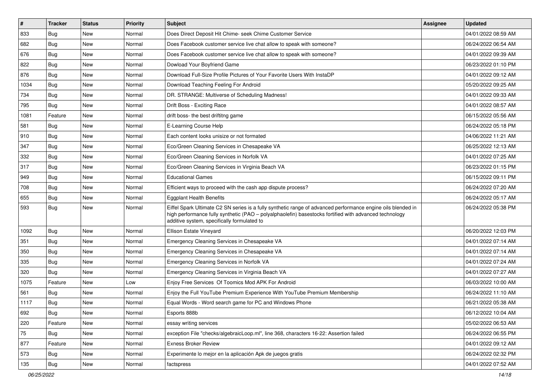| $\vert$ # | <b>Tracker</b> | <b>Status</b> | <b>Priority</b> | Subject                                                                                                                                                                                                                                                               | Assignee | <b>Updated</b>      |
|-----------|----------------|---------------|-----------------|-----------------------------------------------------------------------------------------------------------------------------------------------------------------------------------------------------------------------------------------------------------------------|----------|---------------------|
| 833       | Bug            | <b>New</b>    | Normal          | Does Direct Deposit Hit Chime- seek Chime Customer Service                                                                                                                                                                                                            |          | 04/01/2022 08:59 AM |
| 682       | Bug            | <b>New</b>    | Normal          | Does Facebook customer service live chat allow to speak with someone?                                                                                                                                                                                                 |          | 06/24/2022 06:54 AM |
| 676       | Bug            | <b>New</b>    | Normal          | Does Facebook customer service live chat allow to speak with someone?                                                                                                                                                                                                 |          | 04/01/2022 09:39 AM |
| 822       | <b>Bug</b>     | <b>New</b>    | Normal          | Dowload Your Boyfriend Game                                                                                                                                                                                                                                           |          | 06/23/2022 01:10 PM |
| 876       | Bug            | <b>New</b>    | Normal          | Download Full-Size Profile Pictures of Your Favorite Users With InstaDP                                                                                                                                                                                               |          | 04/01/2022 09:12 AM |
| 1034      | Bug            | <b>New</b>    | Normal          | Download Teaching Feeling For Android                                                                                                                                                                                                                                 |          | 05/20/2022 09:25 AM |
| 734       | Bug            | <b>New</b>    | Normal          | DR. STRANGE: Multiverse of Scheduling Madness!                                                                                                                                                                                                                        |          | 04/01/2022 09:33 AM |
| 795       | Bug            | <b>New</b>    | Normal          | Drift Boss - Exciting Race                                                                                                                                                                                                                                            |          | 04/01/2022 08:57 AM |
| 1081      | Feature        | <b>New</b>    | Normal          | drift boss- the best driftitng game                                                                                                                                                                                                                                   |          | 06/15/2022 05:56 AM |
| 581       | Bug            | <b>New</b>    | Normal          | E-Learning Course Help                                                                                                                                                                                                                                                |          | 06/24/2022 05:18 PM |
| 910       | Bug            | <b>New</b>    | Normal          | Each content looks unisize or not formated                                                                                                                                                                                                                            |          | 04/06/2022 11:21 AM |
| 347       | Bug            | <b>New</b>    | Normal          | Eco/Green Cleaning Services in Chesapeake VA                                                                                                                                                                                                                          |          | 06/25/2022 12:13 AM |
| 332       | Bug            | <b>New</b>    | Normal          | Eco/Green Cleaning Services in Norfolk VA                                                                                                                                                                                                                             |          | 04/01/2022 07:25 AM |
| 317       | Bug            | <b>New</b>    | Normal          | Eco/Green Cleaning Services in Virginia Beach VA                                                                                                                                                                                                                      |          | 06/23/2022 01:15 PM |
| 949       | Bug            | <b>New</b>    | Normal          | <b>Educational Games</b>                                                                                                                                                                                                                                              |          | 06/15/2022 09:11 PM |
| 708       | Bug            | <b>New</b>    | Normal          | Efficient ways to proceed with the cash app dispute process?                                                                                                                                                                                                          |          | 06/24/2022 07:20 AM |
| 655       | <b>Bug</b>     | <b>New</b>    | Normal          | <b>Eggplant Health Benefits</b>                                                                                                                                                                                                                                       |          | 06/24/2022 05:17 AM |
| 593       | Bug            | <b>New</b>    | Normal          | Eiffel Spark Ultimate C2 SN series is a fully synthetic range of advanced performance engine oils blended in<br>high performance fully synthetic (PAO - polyalphaolefin) basestocks fortified with advanced technology<br>additive system, specifically formulated to |          | 06/24/2022 05:38 PM |
| 1092      | Bug            | <b>New</b>    | Normal          | Ellison Estate Vineyard                                                                                                                                                                                                                                               |          | 06/20/2022 12:03 PM |
| 351       | Bug            | <b>New</b>    | Normal          | Emergency Cleaning Services in Chesapeake VA                                                                                                                                                                                                                          |          | 04/01/2022 07:14 AM |
| 350       | Bug            | <b>New</b>    | Normal          | Emergency Cleaning Services in Chesapeake VA                                                                                                                                                                                                                          |          | 04/01/2022 07:14 AM |
| 335       | <b>Bug</b>     | <b>New</b>    | Normal          | Emergency Cleaning Services in Norfolk VA                                                                                                                                                                                                                             |          | 04/01/2022 07:24 AM |
| 320       | <b>Bug</b>     | <b>New</b>    | Normal          | Emergency Cleaning Services in Virginia Beach VA                                                                                                                                                                                                                      |          | 04/01/2022 07:27 AM |
| 1075      | Feature        | <b>New</b>    | Low             | Enjoy Free Services Of Toomics Mod APK For Android                                                                                                                                                                                                                    |          | 06/03/2022 10:00 AM |
| 561       | <b>Bug</b>     | <b>New</b>    | Normal          | Enjoy the Full YouTube Premium Experience With YouTube Premium Membership                                                                                                                                                                                             |          | 06/24/2022 11:10 AM |
| 1117      | Bug            | <b>New</b>    | Normal          | Equal Words - Word search game for PC and Windows Phone                                                                                                                                                                                                               |          | 06/21/2022 05:38 AM |
| 692       | Bug            | New           | Normal          | Esports 888b                                                                                                                                                                                                                                                          |          | 06/12/2022 10:04 AM |
| 220       | Feature        | New           | Normal          | essay writing services                                                                                                                                                                                                                                                |          | 05/02/2022 06:53 AM |
| 75        | <b>Bug</b>     | New           | Normal          | exception File "checks/algebraicLoop.ml", line 368, characters 16-22: Assertion failed                                                                                                                                                                                |          | 06/24/2022 06:55 PM |
| 877       | Feature        | New           | Normal          | <b>Exness Broker Review</b>                                                                                                                                                                                                                                           |          | 04/01/2022 09:12 AM |
| 573       | <b>Bug</b>     | New           | Normal          | Experimente lo mejor en la aplicación Apk de juegos gratis                                                                                                                                                                                                            |          | 06/24/2022 02:32 PM |
| 135       | <b>Bug</b>     | New           | Normal          | factspress                                                                                                                                                                                                                                                            |          | 04/01/2022 07:52 AM |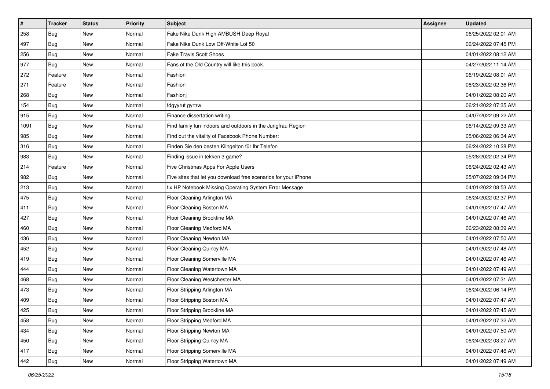| #    | <b>Tracker</b> | <b>Status</b> | <b>Priority</b> | <b>Subject</b>                                                  | <b>Assignee</b> | <b>Updated</b>      |
|------|----------------|---------------|-----------------|-----------------------------------------------------------------|-----------------|---------------------|
| 258  | Bug            | New           | Normal          | Fake Nike Dunk High AMBUSH Deep Royal                           |                 | 06/25/2022 02:01 AM |
| 497  | Bug            | <b>New</b>    | Normal          | Fake Nike Dunk Low Off-White Lot 50                             |                 | 06/24/2022 07:45 PM |
| 256  | Bug            | New           | Normal          | <b>Fake Travis Scott Shoes</b>                                  |                 | 04/01/2022 08:12 AM |
| 977  | Bug            | <b>New</b>    | Normal          | Fans of the Old Country will like this book.                    |                 | 04/27/2022 11:14 AM |
| 272  | Feature        | New           | Normal          | Fashion                                                         |                 | 06/19/2022 08:01 AM |
| 271  | Feature        | New           | Normal          | Fashion                                                         |                 | 06/23/2022 02:36 PM |
| 268  | Bug            | <b>New</b>    | Normal          | Fashioni                                                        |                 | 04/01/2022 08:20 AM |
| 154  | Bug            | New           | Normal          | fdgyyrut gyrtrw                                                 |                 | 06/21/2022 07:35 AM |
| 915  | Bug            | <b>New</b>    | Normal          | Finance dissertation writing                                    |                 | 04/07/2022 09:22 AM |
| 1091 | Bug            | <b>New</b>    | Normal          | Find family fun indoors and outdoors in the Jungfrau Region     |                 | 06/14/2022 09:33 AM |
| 985  | Bug            | New           | Normal          | Find out the vitality of Facebook Phone Number:                 |                 | 05/06/2022 06:34 AM |
| 316  | Bug            | <b>New</b>    | Normal          | Finden Sie den besten Klingelton für Ihr Telefon                |                 | 06/24/2022 10:28 PM |
| 983  | Bug            | <b>New</b>    | Normal          | Finding issue in tekken 3 game?                                 |                 | 05/28/2022 02:34 PM |
| 214  | Feature        | <b>New</b>    | Normal          | Five Christmas Apps For Apple Users                             |                 | 06/24/2022 02:43 AM |
| 982  | Bug            | <b>New</b>    | Normal          | Five sites that let you download free scenarios for your iPhone |                 | 05/07/2022 09:34 PM |
| 213  | Bug            | New           | Normal          | fix HP Notebook Missing Operating System Error Message          |                 | 04/01/2022 08:53 AM |
| 475  | Bug            | New           | Normal          | Floor Cleaning Arlington MA                                     |                 | 06/24/2022 02:37 PM |
| 411  | Bug            | <b>New</b>    | Normal          | Floor Cleaning Boston MA                                        |                 | 04/01/2022 07:47 AM |
| 427  | Bug            | <b>New</b>    | Normal          | Floor Cleaning Brookline MA                                     |                 | 04/01/2022 07:46 AM |
| 460  | Bug            | New           | Normal          | Floor Cleaning Medford MA                                       |                 | 06/23/2022 08:39 AM |
| 436  | Bug            | New           | Normal          | Floor Cleaning Newton MA                                        |                 | 04/01/2022 07:50 AM |
| 452  | Bug            | <b>New</b>    | Normal          | Floor Cleaning Quincy MA                                        |                 | 04/01/2022 07:48 AM |
| 419  | Bug            | <b>New</b>    | Normal          | Floor Cleaning Somerville MA                                    |                 | 04/01/2022 07:46 AM |
| 444  | Bug            | New           | Normal          | Floor Cleaning Watertown MA                                     |                 | 04/01/2022 07:49 AM |
| 468  | Bug            | <b>New</b>    | Normal          | Floor Cleaning Westchester MA                                   |                 | 04/01/2022 07:31 AM |
| 473  | Bug            | <b>New</b>    | Normal          | Floor Stripping Arlington MA                                    |                 | 06/24/2022 06:14 PM |
| 409  | <b>Bug</b>     | <b>New</b>    | Normal          | Floor Stripping Boston MA                                       |                 | 04/01/2022 07:47 AM |
| 425  | <b>Bug</b>     | New           | Normal          | Floor Stripping Brookline MA                                    |                 | 04/01/2022 07:45 AM |
| 458  | Bug            | New           | Normal          | Floor Stripping Medford MA                                      |                 | 04/01/2022 07:32 AM |
| 434  | Bug            | New           | Normal          | Floor Stripping Newton MA                                       |                 | 04/01/2022 07:50 AM |
| 450  | Bug            | New           | Normal          | Floor Stripping Quincy MA                                       |                 | 06/24/2022 03:27 AM |
| 417  | <b>Bug</b>     | New           | Normal          | Floor Stripping Somerville MA                                   |                 | 04/01/2022 07:46 AM |
| 442  | <b>Bug</b>     | New           | Normal          | Floor Stripping Watertown MA                                    |                 | 04/01/2022 07:49 AM |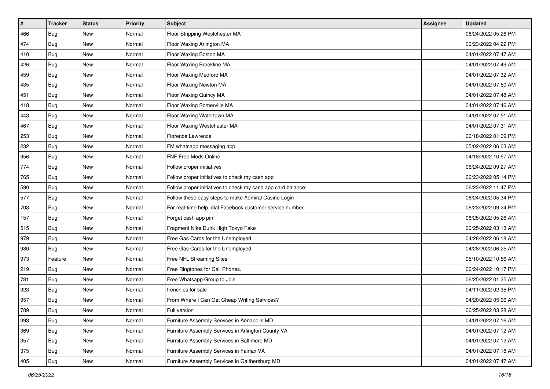| $\vert$ # | <b>Tracker</b> | <b>Status</b> | <b>Priority</b> | <b>Subject</b>                                               | <b>Assignee</b> | <b>Updated</b>      |
|-----------|----------------|---------------|-----------------|--------------------------------------------------------------|-----------------|---------------------|
| 466       | Bug            | New           | Normal          | Floor Stripping Westchester MA                               |                 | 06/24/2022 05:26 PM |
| 474       | Bug            | New           | Normal          | Floor Waxing Arlington MA                                    |                 | 06/23/2022 04:22 PM |
| 410       | <b>Bug</b>     | New           | Normal          | Floor Waxing Boston MA                                       |                 | 04/01/2022 07:47 AM |
| 426       | Bug            | <b>New</b>    | Normal          | Floor Waxing Brookline MA                                    |                 | 04/01/2022 07:49 AM |
| 459       | <b>Bug</b>     | <b>New</b>    | Normal          | Floor Waxing Medford MA                                      |                 | 04/01/2022 07:32 AM |
| 435       | Bug            | <b>New</b>    | Normal          | Floor Waxing Newton MA                                       |                 | 04/01/2022 07:50 AM |
| 451       | Bug            | <b>New</b>    | Normal          | Floor Waxing Quincy MA                                       |                 | 04/01/2022 07:48 AM |
| 418       | Bug            | New           | Normal          | Floor Waxing Somerville MA                                   |                 | 04/01/2022 07:46 AM |
| 443       | Bug            | <b>New</b>    | Normal          | Floor Waxing Watertown MA                                    |                 | 04/01/2022 07:51 AM |
| 467       | Bug            | <b>New</b>    | Normal          | Floor Waxing Westchester MA                                  |                 | 04/01/2022 07:31 AM |
| 253       | Bug            | New           | Normal          | Florence Lawrence                                            |                 | 06/18/2022 01:09 PM |
| 232       | Bug            | <b>New</b>    | Normal          | FM whatsapp messaging app.                                   |                 | 05/02/2022 06:03 AM |
| 956       | <b>Bug</b>     | <b>New</b>    | Normal          | FNF Free Mods Online                                         |                 | 04/18/2022 10:57 AM |
| 774       | Bug            | <b>New</b>    | Normal          | Follow proper initiatives                                    |                 | 06/24/2022 09:27 AM |
| 765       | <b>Bug</b>     | <b>New</b>    | Normal          | Follow proper initiatives to check my cash app               |                 | 06/23/2022 05:14 PM |
| 590       | <b>Bug</b>     | New           | Normal          | Follow proper initiatives to check my cash app card balance: |                 | 06/23/2022 11:47 PM |
| 577       | Bug            | <b>New</b>    | Normal          | Follow these easy steps to make Admiral Casino Login         |                 | 06/24/2022 05:34 PM |
| 703       | <b>Bug</b>     | <b>New</b>    | Normal          | For real-time help, dial Facebook customer service number    |                 | 06/23/2022 09:24 PM |
| 157       | Bug            | <b>New</b>    | Normal          | Forget cash app pin                                          |                 | 06/25/2022 05:26 AM |
| 515       | Bug            | <b>New</b>    | Normal          | Fragment Nike Dunk High Tokyo Fake                           |                 | 06/25/2022 03:13 AM |
| 979       | Bug            | New           | Normal          | Free Gas Cards for the Unemployed                            |                 | 04/28/2022 06:18 AM |
| 980       | Bug            | <b>New</b>    | Normal          | Free Gas Cards for the Unemployed                            |                 | 04/28/2022 06:25 AM |
| 973       | Feature        | <b>New</b>    | Normal          | Free NFL Streaming Sites                                     |                 | 05/10/2022 10:56 AM |
| 219       | Bug            | New           | Normal          | Free Ringtones for Cell Phones.                              |                 | 06/24/2022 10:17 PM |
| 781       | Bug            | New           | Normal          | Free Whatsapp Group to Join                                  |                 | 06/25/2022 01:25 AM |
| 923       | <b>Bug</b>     | <b>New</b>    | Normal          | frenchies for sale                                           |                 | 04/11/2022 02:35 PM |
| 957       | Bug            | <b>New</b>    | Normal          | From Where I Can Get Cheap Writing Services?                 |                 | 04/20/2022 05:06 AM |
| 789       | <b>Bug</b>     | New           | Normal          | Full version                                                 |                 | 06/25/2022 03:28 AM |
| 393       | Bug            | New           | Normal          | Furniture Assembly Services in Annapolis MD                  |                 | 04/01/2022 07:16 AM |
| 369       | Bug            | New           | Normal          | Furniture Assembly Services in Arlington County VA           |                 | 04/01/2022 07:12 AM |
| 357       | Bug            | New           | Normal          | Furniture Assembly Services in Baltimore MD                  |                 | 04/01/2022 07:12 AM |
| 375       | Bug            | New           | Normal          | Furniture Assembly Services in Fairfax VA                    |                 | 04/01/2022 07:18 AM |
| 405       | Bug            | New           | Normal          | Furniture Assembly Services in Gaithersburg MD               |                 | 04/01/2022 07:47 AM |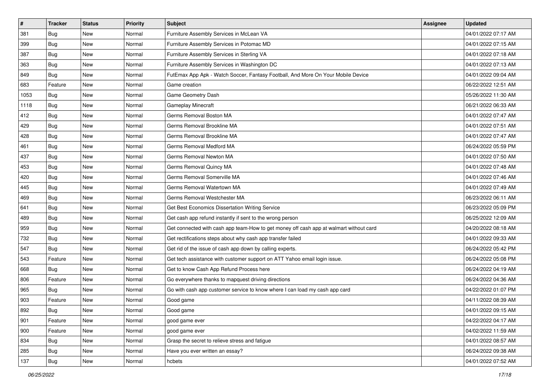| #    | <b>Tracker</b> | <b>Status</b> | <b>Priority</b> | <b>Subject</b>                                                                         | Assignee | <b>Updated</b>      |
|------|----------------|---------------|-----------------|----------------------------------------------------------------------------------------|----------|---------------------|
| 381  | Bug            | New           | Normal          | Furniture Assembly Services in McLean VA                                               |          | 04/01/2022 07:17 AM |
| 399  | Bug            | <b>New</b>    | Normal          | Furniture Assembly Services in Potomac MD                                              |          | 04/01/2022 07:15 AM |
| 387  | Bug            | <b>New</b>    | Normal          | Furniture Assembly Services in Sterling VA                                             |          | 04/01/2022 07:18 AM |
| 363  | <b>Bug</b>     | <b>New</b>    | Normal          | Furniture Assembly Services in Washington DC                                           |          | 04/01/2022 07:13 AM |
| 849  | Bug            | <b>New</b>    | Normal          | FutEmax App Apk - Watch Soccer, Fantasy Football, And More On Your Mobile Device       |          | 04/01/2022 09:04 AM |
| 683  | Feature        | <b>New</b>    | Normal          | Game creation                                                                          |          | 06/22/2022 12:51 AM |
| 1053 | Bug            | <b>New</b>    | Normal          | Game Geometry Dash                                                                     |          | 05/26/2022 11:30 AM |
| 1118 | Bug            | New           | Normal          | Gameplay Minecraft                                                                     |          | 06/21/2022 06:33 AM |
| 412  | Bug            | <b>New</b>    | Normal          | Germs Removal Boston MA                                                                |          | 04/01/2022 07:47 AM |
| 429  | Bug            | <b>New</b>    | Normal          | Germs Removal Brookline MA                                                             |          | 04/01/2022 07:51 AM |
| 428  | <b>Bug</b>     | <b>New</b>    | Normal          | Germs Removal Brookline MA                                                             |          | 04/01/2022 07:47 AM |
| 461  | Bug            | <b>New</b>    | Normal          | Germs Removal Medford MA                                                               |          | 06/24/2022 05:59 PM |
| 437  | Bug            | New           | Normal          | Germs Removal Newton MA                                                                |          | 04/01/2022 07:50 AM |
| 453  | Bug            | <b>New</b>    | Normal          | Germs Removal Quincy MA                                                                |          | 04/01/2022 07:48 AM |
| 420  | Bug            | <b>New</b>    | Normal          | Germs Removal Somerville MA                                                            |          | 04/01/2022 07:46 AM |
| 445  | Bug            | <b>New</b>    | Normal          | Germs Removal Watertown MA                                                             |          | 04/01/2022 07:49 AM |
| 469  | Bug            | <b>New</b>    | Normal          | Germs Removal Westchester MA                                                           |          | 06/23/2022 06:11 AM |
| 641  | Bug            | <b>New</b>    | Normal          | Get Best Economics Dissertation Writing Service                                        |          | 06/23/2022 05:09 PM |
| 489  | Bug            | New           | Normal          | Get cash app refund instantly if sent to the wrong person                              |          | 06/25/2022 12:09 AM |
| 959  | Bug            | <b>New</b>    | Normal          | Get connected with cash app team-How to get money off cash app at walmart without card |          | 04/20/2022 08:18 AM |
| 732  | Bug            | New           | Normal          | Get rectifications steps about why cash app transfer failed                            |          | 04/01/2022 09:33 AM |
| 547  | Bug            | <b>New</b>    | Normal          | Get rid of the issue of cash app down by calling experts.                              |          | 06/24/2022 05:42 PM |
| 543  | Feature        | <b>New</b>    | Normal          | Get tech assistance with customer support on ATT Yahoo email login issue.              |          | 06/24/2022 05:08 PM |
| 668  | Bug            | <b>New</b>    | Normal          | Get to know Cash App Refund Process here                                               |          | 06/24/2022 04:19 AM |
| 806  | Feature        | <b>New</b>    | Normal          | Go everywhere thanks to mapquest driving directions                                    |          | 06/24/2022 04:36 AM |
| 965  | Bug            | New           | Normal          | Go with cash app customer service to know where I can load my cash app card            |          | 04/22/2022 01:07 PM |
| 903  | Feature        | <b>New</b>    | Normal          | Good game                                                                              |          | 04/11/2022 08:39 AM |
| 892  | <b>Bug</b>     | New           | Normal          | Good game                                                                              |          | 04/01/2022 09:15 AM |
| 901  | Feature        | New           | Normal          | good game ever                                                                         |          | 04/22/2022 04:17 AM |
| 900  | Feature        | New           | Normal          | good game ever                                                                         |          | 04/02/2022 11:59 AM |
| 834  | Bug            | New           | Normal          | Grasp the secret to relieve stress and fatigue                                         |          | 04/01/2022 08:57 AM |
| 285  | Bug            | New           | Normal          | Have you ever written an essay?                                                        |          | 06/24/2022 09:38 AM |
| 137  | <b>Bug</b>     | New           | Normal          | hcbets                                                                                 |          | 04/01/2022 07:52 AM |